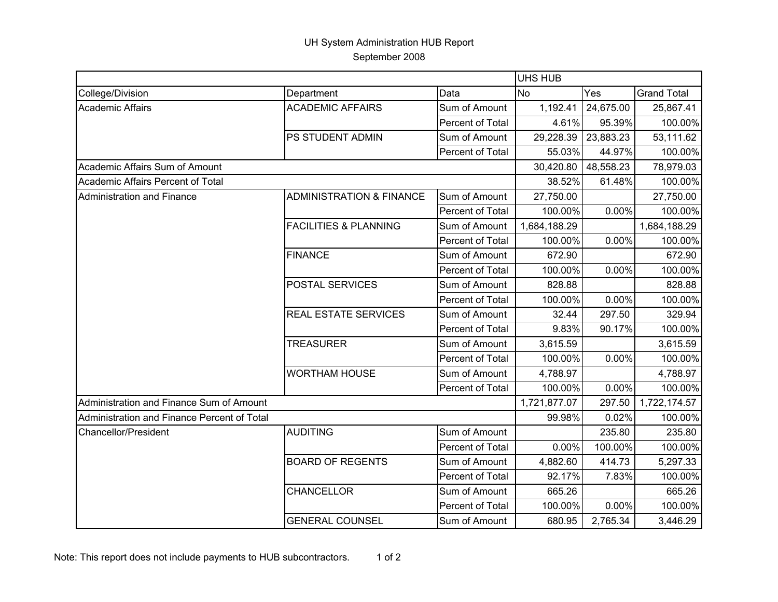## UH System Administration HUB Report September 2008

|                                             |                                     |                  | <b>UHS HUB</b> |           |                    |
|---------------------------------------------|-------------------------------------|------------------|----------------|-----------|--------------------|
| College/Division                            | Department                          | Data             | N <sub>o</sub> | Yes       | <b>Grand Total</b> |
| <b>Academic Affairs</b>                     | <b>ACADEMIC AFFAIRS</b>             | Sum of Amount    | 1,192.41       | 24,675.00 | 25,867.41          |
|                                             |                                     | Percent of Total | 4.61%          | 95.39%    | 100.00%            |
|                                             | PS STUDENT ADMIN                    | Sum of Amount    | 29,228.39      | 23,883.23 | 53,111.62          |
|                                             |                                     | Percent of Total | 55.03%         | 44.97%    | 100.00%            |
| Academic Affairs Sum of Amount              |                                     |                  | 30,420.80      | 48,558.23 | 78,979.03          |
| Academic Affairs Percent of Total           |                                     |                  | 38.52%         | 61.48%    | 100.00%            |
| Administration and Finance                  | <b>ADMINISTRATION &amp; FINANCE</b> | Sum of Amount    | 27,750.00      |           | 27,750.00          |
|                                             |                                     | Percent of Total | 100.00%        | 0.00%     | 100.00%            |
|                                             | <b>FACILITIES &amp; PLANNING</b>    | Sum of Amount    | 1,684,188.29   |           | 1,684,188.29       |
|                                             |                                     | Percent of Total | 100.00%        | 0.00%     | 100.00%            |
|                                             | <b>FINANCE</b>                      | Sum of Amount    | 672.90         |           | 672.90             |
|                                             |                                     | Percent of Total | 100.00%        | 0.00%     | 100.00%            |
|                                             | POSTAL SERVICES                     | Sum of Amount    | 828.88         |           | 828.88             |
|                                             |                                     | Percent of Total | 100.00%        | 0.00%     | 100.00%            |
|                                             | <b>REAL ESTATE SERVICES</b>         | Sum of Amount    | 32.44          | 297.50    | 329.94             |
|                                             |                                     | Percent of Total | 9.83%          | 90.17%    | 100.00%            |
|                                             | <b>TREASURER</b>                    | Sum of Amount    | 3,615.59       |           | 3,615.59           |
|                                             |                                     | Percent of Total | 100.00%        | 0.00%     | 100.00%            |
|                                             | <b>WORTHAM HOUSE</b>                | Sum of Amount    | 4,788.97       |           | 4,788.97           |
|                                             |                                     | Percent of Total | 100.00%        | 0.00%     | 100.00%            |
| Administration and Finance Sum of Amount    |                                     |                  | 1,721,877.07   | 297.50    | 1,722,174.57       |
| Administration and Finance Percent of Total |                                     |                  | 99.98%         | 0.02%     | 100.00%            |
| <b>Chancellor/President</b>                 | <b>AUDITING</b>                     | Sum of Amount    |                | 235.80    | 235.80             |
|                                             |                                     | Percent of Total | 0.00%          | 100.00%   | 100.00%            |
|                                             | <b>BOARD OF REGENTS</b>             | Sum of Amount    | 4,882.60       | 414.73    | 5,297.33           |
|                                             |                                     | Percent of Total | 92.17%         | 7.83%     | 100.00%            |
|                                             | CHANCELLOR                          | Sum of Amount    | 665.26         |           | 665.26             |
|                                             |                                     | Percent of Total | 100.00%        | 0.00%     | 100.00%            |
|                                             | <b>GENERAL COUNSEL</b>              | Sum of Amount    | 680.95         | 2,765.34  | 3,446.29           |